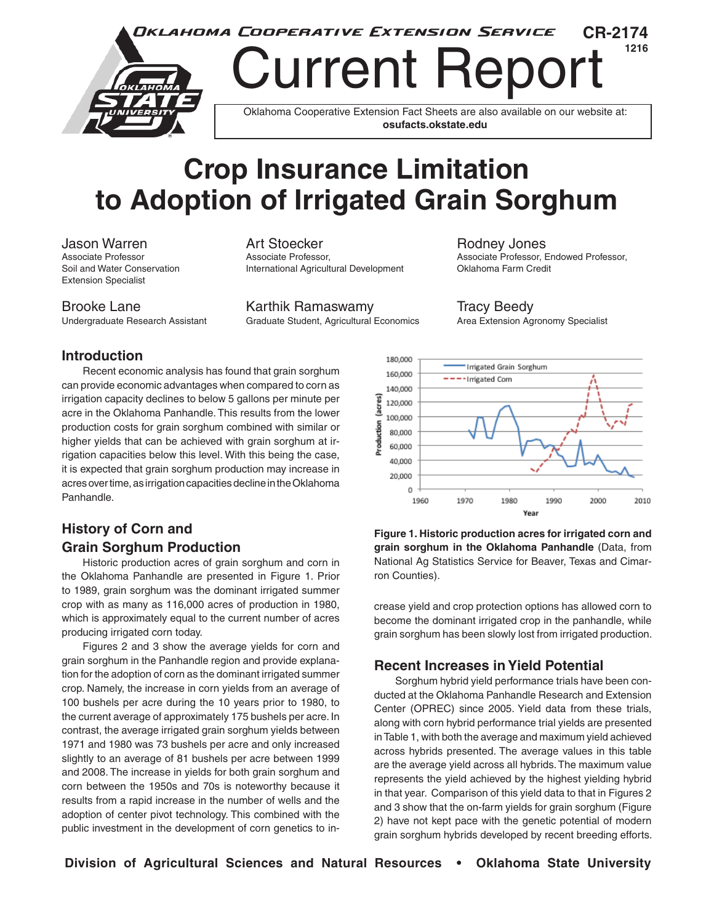

# **Crop Insurance Limitation to Adoption of Irrigated Grain Sorghum**

Extension Specialist

Jason Warren Art Stoecker Rodney Jones Soil and Water Conservation **International Agricultural Development** Oklahoma Farm Credit

Brooke Lane Tracy Beedy **Karthik Ramaswamy** Tracy Beedy Undergraduate Research Assistant Graduate Student, Agricultural Economics Area Extension Agronomy Specialist

Associate Professor, Endowed Professor,

#### **Introduction**

Recent economic analysis has found that grain sorghum can provide economic advantages when compared to corn as irrigation capacity declines to below 5 gallons per minute per acre in the Oklahoma Panhandle. This results from the lower production costs for grain sorghum combined with similar or higher yields that can be achieved with grain sorghum at irrigation capacities below this level. With this being the case, it is expected that grain sorghum production may increase in acres over time, as irrigation capacities decline in the Oklahoma Panhandle.

### **History of Corn and Grain Sorghum Production**

Historic production acres of grain sorghum and corn in the Oklahoma Panhandle are presented in Figure 1. Prior to 1989, grain sorghum was the dominant irrigated summer crop with as many as 116,000 acres of production in 1980, which is approximately equal to the current number of acres producing irrigated corn today.

Figures 2 and 3 show the average yields for corn and grain sorghum in the Panhandle region and provide explanation for the adoption of corn as the dominant irrigated summer crop. Namely, the increase in corn yields from an average of 100 bushels per acre during the 10 years prior to 1980, to the current average of approximately 175 bushels per acre. In contrast, the average irrigated grain sorghum yields between 1971 and 1980 was 73 bushels per acre and only increased slightly to an average of 81 bushels per acre between 1999 and 2008. The increase in yields for both grain sorghum and corn between the 1950s and 70s is noteworthy because it results from a rapid increase in the number of wells and the adoption of center pivot technology. This combined with the public investment in the development of corn genetics to in-



**Figure 1. Historic production acres for irrigated corn and grain sorghum in the Oklahoma Panhandle** (Data, from National Ag Statistics Service for Beaver, Texas and Cimarron Counties).

crease yield and crop protection options has allowed corn to become the dominant irrigated crop in the panhandle, while grain sorghum has been slowly lost from irrigated production.

#### **Recent Increases in Yield Potential**

Sorghum hybrid yield performance trials have been conducted at the Oklahoma Panhandle Research and Extension Center (OPREC) since 2005. Yield data from these trials, along with corn hybrid performance trial yields are presented in Table 1, with both the average and maximum yield achieved across hybrids presented. The average values in this table are the average yield across all hybrids. The maximum value represents the yield achieved by the highest yielding hybrid in that year. Comparison of this yield data to that in Figures 2 and 3 show that the on-farm yields for grain sorghum (Figure 2) have not kept pace with the genetic potential of modern grain sorghum hybrids developed by recent breeding efforts.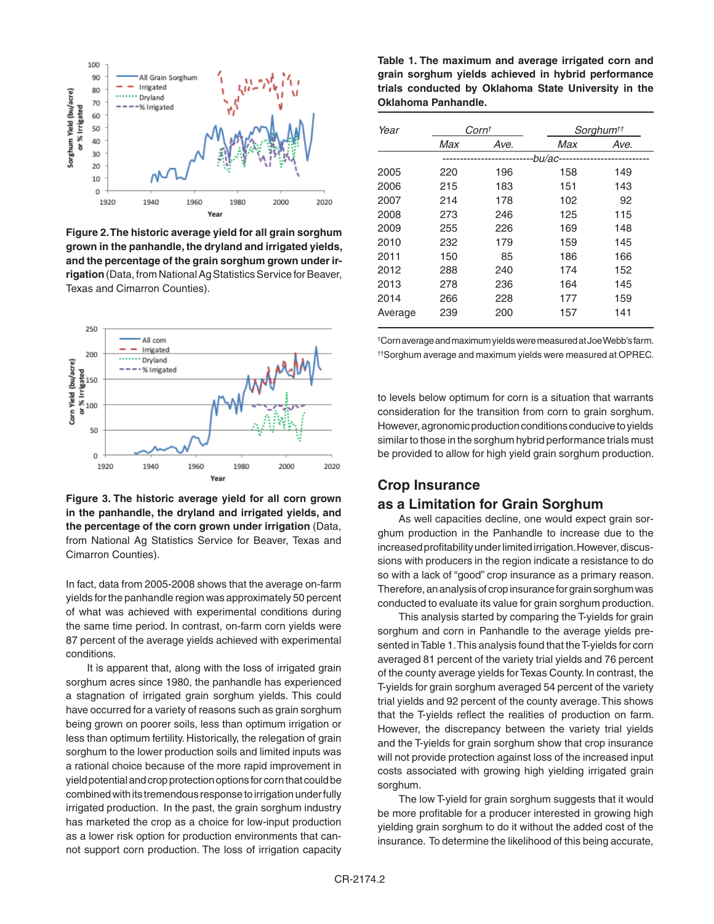

**Figure 2. The historic average yield for all grain sorghum grown in the panhandle, the dryland and irrigated yields, and the percentage of the grain sorghum grown under irrigation** (Data, from National Ag Statistics Service for Beaver, Texas and Cimarron Counties).



**Figure 3. The historic average yield for all corn grown in the panhandle, the dryland and irrigated yields, and the percentage of the corn grown under irrigation** (Data, from National Ag Statistics Service for Beaver, Texas and Cimarron Counties).

In fact, data from 2005-2008 shows that the average on-farm yields for the panhandle region was approximately 50 percent of what was achieved with experimental conditions during the same time period. In contrast, on-farm corn yields were 87 percent of the average yields achieved with experimental conditions.

It is apparent that, along with the loss of irrigated grain sorghum acres since 1980, the panhandle has experienced a stagnation of irrigated grain sorghum yields. This could have occurred for a variety of reasons such as grain sorghum being grown on poorer soils, less than optimum irrigation or less than optimum fertility. Historically, the relegation of grain sorghum to the lower production soils and limited inputs was a rational choice because of the more rapid improvement in yield potential and crop protection options for corn that could be combined with its tremendous response to irrigation under fully irrigated production. In the past, the grain sorghum industry has marketed the crop as a choice for low-input production as a lower risk option for production environments that cannot support corn production. The loss of irrigation capacity

**Table 1. The maximum and average irrigated corn and grain sorghum yields achieved in hybrid performance trials conducted by Oklahoma State University in the Oklahoma Panhandle.** 

| Year    | Corn <sup>t</sup>     |      | Sorghum <sup>††</sup> |      |
|---------|-----------------------|------|-----------------------|------|
|         | Max                   | Ave. | Max                   | Ave. |
|         | -bu/ac--------------- |      |                       |      |
| 2005    | 220                   | 196  | 158                   | 149  |
| 2006    | 215                   | 183  | 151                   | 143  |
| 2007    | 214                   | 178  | 102                   | 92   |
| 2008    | 273                   | 246  | 125                   | 115  |
| 2009    | 255                   | 226  | 169                   | 148  |
| 2010    | 232                   | 179  | 159                   | 145  |
| 2011    | 150                   | 85   | 186                   | 166  |
| 2012    | 288                   | 240  | 174                   | 152  |
| 2013    | 278                   | 236  | 164                   | 145  |
| 2014    | 266                   | 228  | 177                   | 159  |
| Average | 239                   | 200  | 157                   | 141  |

† Corn average and maximum yields were measured at Joe Webb's farm. ††Sorghum average and maximum yields were measured at OPREC.

to levels below optimum for corn is a situation that warrants consideration for the transition from corn to grain sorghum. However, agronomic production conditions conducive to yields similar to those in the sorghum hybrid performance trials must be provided to allow for high yield grain sorghum production.

## **Crop Insurance**

#### **as a Limitation for Grain Sorghum**

As well capacities decline, one would expect grain sorghum production in the Panhandle to increase due to the increased profitability under limited irrigation. However, discussions with producers in the region indicate a resistance to do so with a lack of "good" crop insurance as a primary reason. Therefore, an analysis of crop insurance for grain sorghum was conducted to evaluate its value for grain sorghum production.

This analysis started by comparing the T-yields for grain sorghum and corn in Panhandle to the average yields presented in Table 1. This analysis found that the T-yields for corn averaged 81 percent of the variety trial yields and 76 percent of the county average yields for Texas County. In contrast, the T-yields for grain sorghum averaged 54 percent of the variety trial yields and 92 percent of the county average. This shows that the T-yields reflect the realities of production on farm. However, the discrepancy between the variety trial yields and the T-yields for grain sorghum show that crop insurance will not provide protection against loss of the increased input costs associated with growing high yielding irrigated grain sorghum.

The low T-yield for grain sorghum suggests that it would be more profitable for a producer interested in growing high yielding grain sorghum to do it without the added cost of the insurance. To determine the likelihood of this being accurate,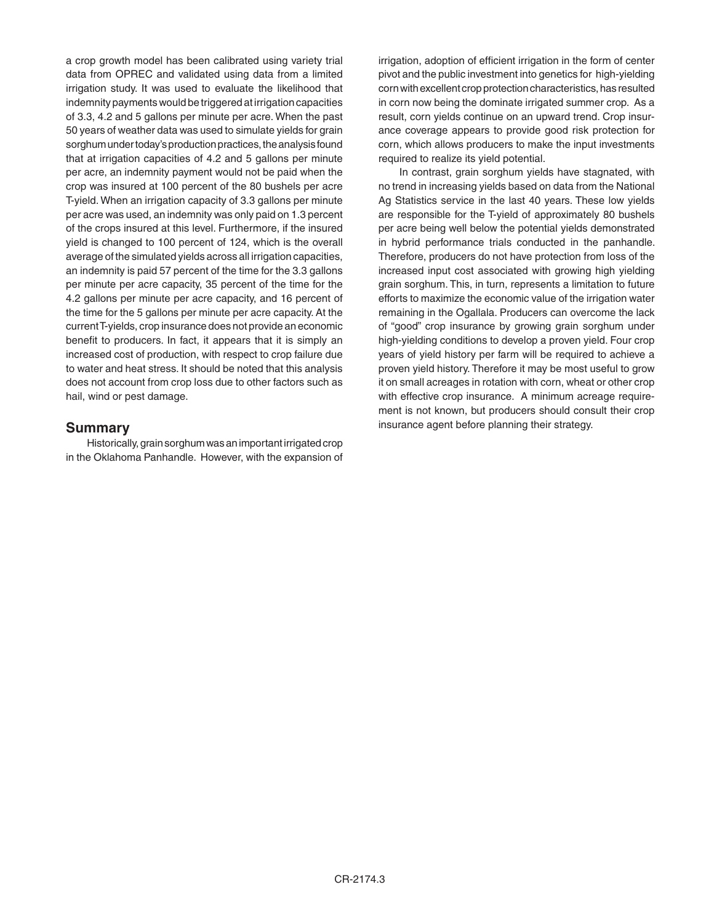a crop growth model has been calibrated using variety trial data from OPREC and validated using data from a limited irrigation study. It was used to evaluate the likelihood that indemnity payments would be triggered at irrigation capacities of 3.3, 4.2 and 5 gallons per minute per acre. When the past 50 years of weather data was used to simulate yields for grain sorghum under today's production practices, the analysis found that at irrigation capacities of 4.2 and 5 gallons per minute per acre, an indemnity payment would not be paid when the crop was insured at 100 percent of the 80 bushels per acre T-yield. When an irrigation capacity of 3.3 gallons per minute per acre was used, an indemnity was only paid on 1.3 percent of the crops insured at this level. Furthermore, if the insured yield is changed to 100 percent of 124, which is the overall average of the simulated yields across all irrigation capacities, an indemnity is paid 57 percent of the time for the 3.3 gallons per minute per acre capacity, 35 percent of the time for the 4.2 gallons per minute per acre capacity, and 16 percent of the time for the 5 gallons per minute per acre capacity. At the current T-yields, crop insurance does not provide an economic benefit to producers. In fact, it appears that it is simply an increased cost of production, with respect to crop failure due to water and heat stress. It should be noted that this analysis does not account from crop loss due to other factors such as hail, wind or pest damage.

#### **Summary**

Historically, grain sorghum was an important irrigated crop in the Oklahoma Panhandle. However, with the expansion of irrigation, adoption of efficient irrigation in the form of center pivot and the public investment into genetics for high-yielding corn with excellent crop protection characteristics, has resulted in corn now being the dominate irrigated summer crop. As a result, corn yields continue on an upward trend. Crop insurance coverage appears to provide good risk protection for corn, which allows producers to make the input investments required to realize its yield potential.

In contrast, grain sorghum yields have stagnated, with no trend in increasing yields based on data from the National Ag Statistics service in the last 40 years. These low yields are responsible for the T-yield of approximately 80 bushels per acre being well below the potential yields demonstrated in hybrid performance trials conducted in the panhandle. Therefore, producers do not have protection from loss of the increased input cost associated with growing high yielding grain sorghum. This, in turn, represents a limitation to future efforts to maximize the economic value of the irrigation water remaining in the Ogallala. Producers can overcome the lack of "good" crop insurance by growing grain sorghum under high-yielding conditions to develop a proven yield. Four crop years of yield history per farm will be required to achieve a proven yield history. Therefore it may be most useful to grow it on small acreages in rotation with corn, wheat or other crop with effective crop insurance. A minimum acreage requirement is not known, but producers should consult their crop insurance agent before planning their strategy.